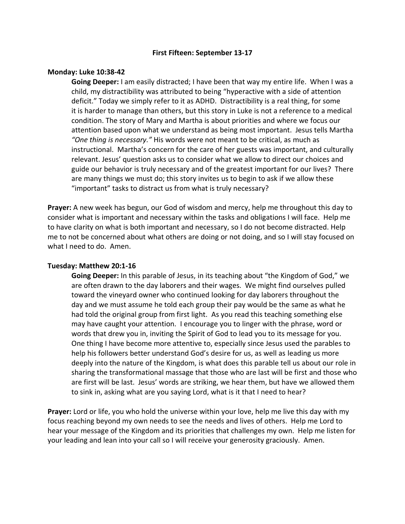### **First Fifteen: September 13-17**

### **Monday: Luke 10:38-42**

**Going Deeper:** I am easily distracted; I have been that way my entire life. When I was a child, my distractibility was attributed to being "hyperactive with a side of attention deficit." Today we simply refer to it as ADHD. Distractibility is a real thing, for some it is harder to manage than others, but this story in Luke is not a reference to a medical condition. The story of Mary and Martha is about priorities and where we focus our attention based upon what we understand as being most important. Jesus tells Martha *"One thing is necessary."* His words were not meant to be critical, as much as instructional. Martha's concern for the care of her guests was important, and culturally relevant. Jesus' question asks us to consider what we allow to direct our choices and guide our behavior is truly necessary and of the greatest important for our lives? There are many things we must do; this story invites us to begin to ask if we allow these "important" tasks to distract us from what is truly necessary?

**Prayer:** A new week has begun, our God of wisdom and mercy, help me throughout this day to consider what is important and necessary within the tasks and obligations I will face. Help me to have clarity on what is both important and necessary, so I do not become distracted. Help me to not be concerned about what others are doing or not doing, and so I will stay focused on what I need to do. Amen.

# **Tuesday: Matthew 20:1-16**

**Going Deeper:** In this parable of Jesus, in its teaching about "the Kingdom of God," we are often drawn to the day laborers and their wages. We might find ourselves pulled toward the vineyard owner who continued looking for day laborers throughout the day and we must assume he told each group their pay would be the same as what he had told the original group from first light. As you read this teaching something else may have caught your attention. I encourage you to linger with the phrase, word or words that drew you in, inviting the Spirit of God to lead you to its message for you. One thing I have become more attentive to, especially since Jesus used the parables to help his followers better understand God's desire for us, as well as leading us more deeply into the nature of the Kingdom, is what does this parable tell us about our role in sharing the transformational massage that those who are last will be first and those who are first will be last. Jesus' words are striking, we hear them, but have we allowed them to sink in, asking what are you saying Lord, what is it that I need to hear?

**Prayer:** Lord or life, you who hold the universe within your love, help me live this day with my focus reaching beyond my own needs to see the needs and lives of others. Help me Lord to hear your message of the Kingdom and its priorities that challenges my own. Help me listen for your leading and lean into your call so I will receive your generosity graciously. Amen.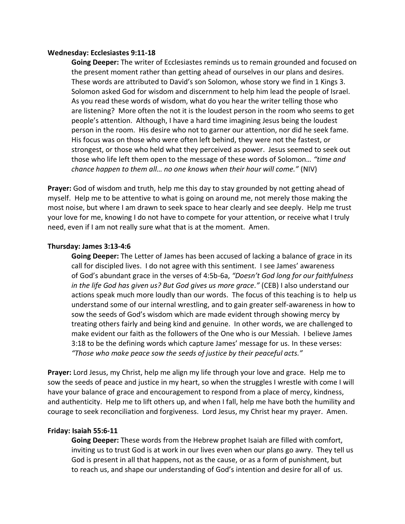### **Wednesday: Ecclesiastes 9:11-18**

**Going Deeper:** The writer of Ecclesiastes reminds us to remain grounded and focused on the present moment rather than getting ahead of ourselves in our plans and desires. These words are attributed to David's son Solomon, whose story we find in 1 Kings 3. Solomon asked God for wisdom and discernment to help him lead the people of Israel. As you read these words of wisdom, what do you hear the writer telling those who are listening? More often the not it is the loudest person in the room who seems to get people's attention. Although, I have a hard time imagining Jesus being the loudest person in the room. His desire who not to garner our attention, nor did he seek fame. His focus was on those who were often left behind, they were not the fastest, or strongest, or those who held what they perceived as power. Jesus seemed to seek out those who life left them open to the message of these words of Solomon… *"time and chance happen to them all… no one knows when their hour will come."* (NIV)

**Prayer:** God of wisdom and truth, help me this day to stay grounded by not getting ahead of myself. Help me to be attentive to what is going on around me, not merely those making the most noise, but where I am drawn to seek space to hear clearly and see deeply. Help me trust your love for me, knowing I do not have to compete for your attention, or receive what I truly need, even if I am not really sure what that is at the moment. Amen.

# **Thursday: James 3:13-4:6**

**Going Deeper:** The Letter of James has been accused of lacking a balance of grace in its call for discipled lives. I do not agree with this sentiment. I see James' awareness of God's abundant grace in the verses of 4:5b-6a, *"Doesn't God long for our faithfulness in the life God has given us? But God gives us more grace."* (CEB) I also understand our actions speak much more loudly than our words. The focus of this teaching is to help us understand some of our internal wrestling, and to gain greater self-awareness in how to sow the seeds of God's wisdom which are made evident through showing mercy by treating others fairly and being kind and genuine. In other words, we are challenged to make evident our faith as the followers of the One who is our Messiah. I believe James 3:18 to be the defining words which capture James' message for us. In these verses: *"Those who make peace sow the seeds of justice by their peaceful acts."*

**Prayer:** Lord Jesus, my Christ, help me align my life through your love and grace. Help me to sow the seeds of peace and justice in my heart, so when the struggles I wrestle with come I will have your balance of grace and encouragement to respond from a place of mercy, kindness, and authenticity. Help me to lift others up, and when I fall, help me have both the humility and courage to seek reconciliation and forgiveness. Lord Jesus, my Christ hear my prayer. Amen.

# **Friday: Isaiah 55:6-11**

**Going Deeper:** These words from the Hebrew prophet Isaiah are filled with comfort, inviting us to trust God is at work in our lives even when our plans go awry. They tell us God is present in all that happens, not as the cause, or as a form of punishment, but to reach us, and shape our understanding of God's intention and desire for all of us.